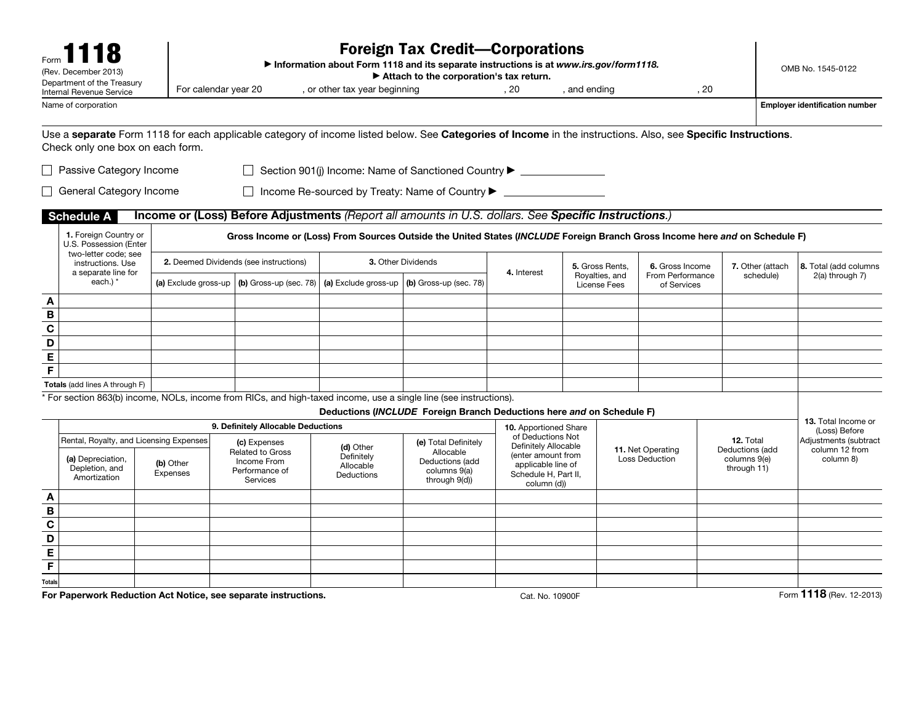|                         | (Rev. December 2013)<br>Department of the Treasury                                                                                                                                               |                                                                                                                                                         |  |                                                               |                                                    | <b>Foreign Tax Credit-Corporations</b><br>Information about Form 1118 and its separate instructions is at www.irs.gov/form1118.<br>Attach to the corporation's tax return. |                                                                                 |              |              |                                            |                                                |                  | OMB No. 1545-0122                     |
|-------------------------|--------------------------------------------------------------------------------------------------------------------------------------------------------------------------------------------------|---------------------------------------------------------------------------------------------------------------------------------------------------------|--|---------------------------------------------------------------|----------------------------------------------------|----------------------------------------------------------------------------------------------------------------------------------------------------------------------------|---------------------------------------------------------------------------------|--------------|--------------|--------------------------------------------|------------------------------------------------|------------------|---------------------------------------|
|                         | Internal Revenue Service<br>Name of corporation                                                                                                                                                  | For calendar year 20                                                                                                                                    |  |                                                               | , or other tax year beginning                      |                                                                                                                                                                            | .20                                                                             | , and ending |              | . 20                                       |                                                |                  | <b>Employer identification number</b> |
|                         | Use a separate Form 1118 for each applicable category of income listed below. See Categories of Income in the instructions. Also, see Specific Instructions.<br>Check only one box on each form. |                                                                                                                                                         |  |                                                               |                                                    |                                                                                                                                                                            |                                                                                 |              |              |                                            |                                                |                  |                                       |
|                         | □ Passive Category Income                                                                                                                                                                        |                                                                                                                                                         |  |                                                               |                                                    | □ Section 901(j) Income: Name of Sanctioned Country ▶ __________________________                                                                                           |                                                                                 |              |              |                                            |                                                |                  |                                       |
|                         | General Category Income                                                                                                                                                                          |                                                                                                                                                         |  |                                                               |                                                    | □ Income Re-sourced by Treaty: Name of Country ▶ _______________________________                                                                                           |                                                                                 |              |              |                                            |                                                |                  |                                       |
|                         | <b>Schedule A</b>                                                                                                                                                                                |                                                                                                                                                         |  |                                                               |                                                    | Income or (Loss) Before Adjustments (Report all amounts in U.S. dollars. See Specific Instructions.)                                                                       |                                                                                 |              |              |                                            |                                                |                  |                                       |
|                         | 1. Foreign Country or<br>U.S. Possession (Enter                                                                                                                                                  |                                                                                                                                                         |  |                                                               |                                                    | Gross Income or (Loss) From Sources Outside the United States (INCLUDE Foreign Branch Gross Income here and on Schedule F)                                                 |                                                                                 |              |              |                                            |                                                |                  |                                       |
|                         | two-letter code: see<br>instructions. Use<br>a separate line for                                                                                                                                 | 2. Deemed Dividends (see instructions)<br>3. Other Dividends<br>5. Gross Rents,<br>6. Gross Income<br>4. Interest<br>Royalties, and<br>From Performance |  |                                                               |                                                    |                                                                                                                                                                            |                                                                                 |              |              |                                            |                                                | 7. Other (attach | 8. Total (add columns                 |
|                         | each.) *                                                                                                                                                                                         | (a) Exclude gross-up                                                                                                                                    |  | $(b)$ Gross-up (sec. 78)                                      | (a) Exclude gross-up                               | (b) Gross-up (sec. 78)                                                                                                                                                     |                                                                                 |              | License Fees | of Services                                |                                                | schedule)        | 2(a) through 7)                       |
| A                       |                                                                                                                                                                                                  |                                                                                                                                                         |  |                                                               |                                                    |                                                                                                                                                                            |                                                                                 |              |              |                                            |                                                |                  |                                       |
| $\, {\bf B}$            |                                                                                                                                                                                                  |                                                                                                                                                         |  |                                                               |                                                    |                                                                                                                                                                            |                                                                                 |              |              |                                            |                                                |                  |                                       |
| $\overline{\mathbf{c}}$ |                                                                                                                                                                                                  |                                                                                                                                                         |  |                                                               |                                                    |                                                                                                                                                                            |                                                                                 |              |              |                                            |                                                |                  |                                       |
| D                       |                                                                                                                                                                                                  |                                                                                                                                                         |  |                                                               |                                                    |                                                                                                                                                                            |                                                                                 |              |              |                                            |                                                |                  |                                       |
| E                       |                                                                                                                                                                                                  |                                                                                                                                                         |  |                                                               |                                                    |                                                                                                                                                                            |                                                                                 |              |              |                                            |                                                |                  |                                       |
| $\mathsf F$             |                                                                                                                                                                                                  |                                                                                                                                                         |  |                                                               |                                                    |                                                                                                                                                                            |                                                                                 |              |              |                                            |                                                |                  |                                       |
|                         | Totals (add lines A through F)                                                                                                                                                                   |                                                                                                                                                         |  |                                                               |                                                    |                                                                                                                                                                            |                                                                                 |              |              |                                            |                                                |                  |                                       |
|                         | * For section 863(b) income, NOLs, income from RICs, and high-taxed income, use a single line (see instructions).                                                                                |                                                                                                                                                         |  |                                                               |                                                    | Deductions (INCLUDE Foreign Branch Deductions here and on Schedule F)                                                                                                      |                                                                                 |              |              |                                            |                                                |                  |                                       |
|                         |                                                                                                                                                                                                  |                                                                                                                                                         |  | 9. Definitely Allocable Deductions                            |                                                    |                                                                                                                                                                            | 10. Apportioned Share                                                           |              |              |                                            |                                                |                  | 13. Total Income or<br>(Loss) Before  |
|                         | Rental, Royalty, and Licensing Expenses                                                                                                                                                          |                                                                                                                                                         |  | (c) Expenses                                                  |                                                    | (e) Total Definitely                                                                                                                                                       | of Deductions Not<br>Definitely Allocable                                       |              |              |                                            | 12. Total                                      |                  | Adjustments (subtract                 |
|                         | (a) Depreciation,<br>Depletion, and<br>Amortization                                                                                                                                              | (b) Other<br>Expenses                                                                                                                                   |  | Related to Gross<br>Income From<br>Performance of<br>Services | (d) Other<br>Definitely<br>Allocable<br>Deductions | Allocable<br>Deductions (add<br>columns 9(a)<br>through 9(d))                                                                                                              | (enter amount from<br>applicable line of<br>Schedule H, Part II,<br>column (d)) |              |              | 11. Net Operating<br><b>Loss Deduction</b> | Deductions (add<br>columns 9(e)<br>through 11) |                  | column 12 from<br>column 8)           |
| A                       |                                                                                                                                                                                                  |                                                                                                                                                         |  |                                                               |                                                    |                                                                                                                                                                            |                                                                                 |              |              |                                            |                                                |                  |                                       |
| $\, {\bf B}$            |                                                                                                                                                                                                  |                                                                                                                                                         |  |                                                               |                                                    |                                                                                                                                                                            |                                                                                 |              |              |                                            |                                                |                  |                                       |
| $\mathbf c$             |                                                                                                                                                                                                  |                                                                                                                                                         |  |                                                               |                                                    |                                                                                                                                                                            |                                                                                 |              |              |                                            |                                                |                  |                                       |
| D                       |                                                                                                                                                                                                  |                                                                                                                                                         |  |                                                               |                                                    |                                                                                                                                                                            |                                                                                 |              |              |                                            |                                                |                  |                                       |
| E                       |                                                                                                                                                                                                  |                                                                                                                                                         |  |                                                               |                                                    |                                                                                                                                                                            |                                                                                 |              |              |                                            |                                                |                  |                                       |
| $\mathsf F$             |                                                                                                                                                                                                  |                                                                                                                                                         |  |                                                               |                                                    |                                                                                                                                                                            |                                                                                 |              |              |                                            |                                                |                  |                                       |
| <b>Totals</b>           |                                                                                                                                                                                                  |                                                                                                                                                         |  |                                                               |                                                    |                                                                                                                                                                            |                                                                                 |              |              |                                            |                                                |                  |                                       |
|                         | For Paperwork Reduction Act Notice, see separate instructions.                                                                                                                                   |                                                                                                                                                         |  |                                                               |                                                    |                                                                                                                                                                            | Cat. No. 10900F                                                                 |              |              |                                            |                                                |                  | Form 1118 (Rev. 12-2013)              |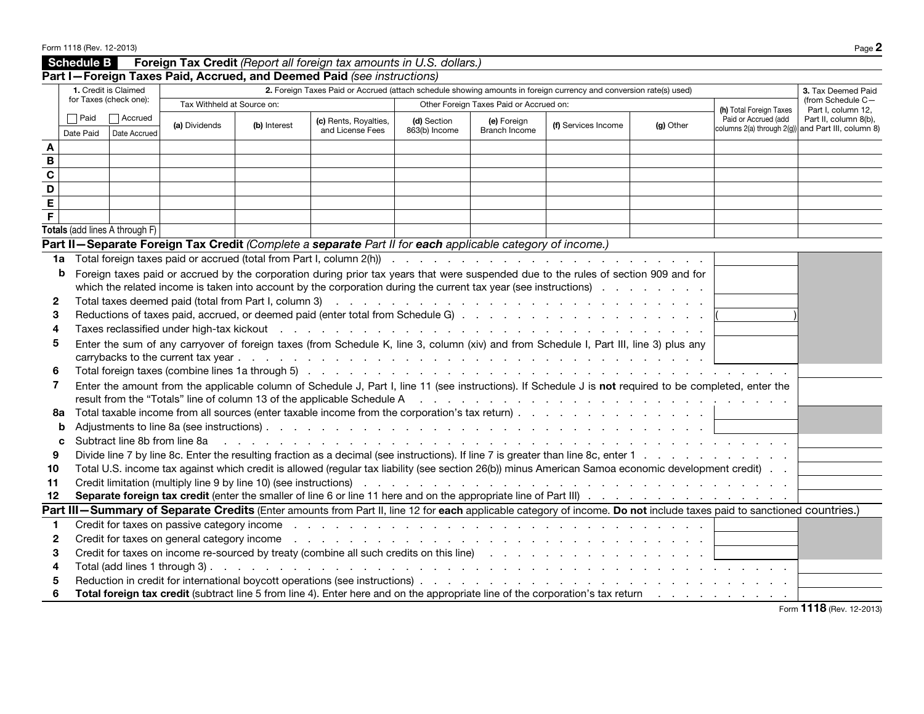|                                                                                                                                                                                                                                                                                                                                                                               | Schedule B               |                                                |                               |              | Foreign Tax Credit (Report all foreign tax amounts in U.S. dollars.)                                                                                                  |                              |                                         |                     |           |                                                                            |                                         |
|-------------------------------------------------------------------------------------------------------------------------------------------------------------------------------------------------------------------------------------------------------------------------------------------------------------------------------------------------------------------------------|--------------------------|------------------------------------------------|-------------------------------|--------------|-----------------------------------------------------------------------------------------------------------------------------------------------------------------------|------------------------------|-----------------------------------------|---------------------|-----------|----------------------------------------------------------------------------|-----------------------------------------|
|                                                                                                                                                                                                                                                                                                                                                                               |                          |                                                |                               |              | Part I-Foreign Taxes Paid, Accrued, and Deemed Paid (see instructions)                                                                                                |                              |                                         |                     |           |                                                                            |                                         |
|                                                                                                                                                                                                                                                                                                                                                                               |                          | 1. Credit is Claimed<br>for Taxes (check one): |                               |              | 2. Foreign Taxes Paid or Accrued (attach schedule showing amounts in foreign currency and conversion rate(s) used)                                                    |                              |                                         |                     |           |                                                                            | 3. Tax Deemed Paid<br>(from Schedule C- |
|                                                                                                                                                                                                                                                                                                                                                                               |                          |                                                | Tax Withheld at Source on:    |              |                                                                                                                                                                       |                              | Other Foreign Taxes Paid or Accrued on: |                     |           | (h) Total Foreign Taxes                                                    | Part I. column 12.                      |
|                                                                                                                                                                                                                                                                                                                                                                               | $\Box$ Paid<br>Date Paid | Accrued<br>Date Accrued                        | (a) Dividends                 | (b) Interest | (c) Rents, Royalties,<br>and License Fees                                                                                                                             | (d) Section<br>863(b) Income | (e) Foreign<br><b>Branch Income</b>     | (f) Services Income | (g) Other | Paid or Accrued (add<br>columns 2(a) through 2(g)) and Part III, column 8) | Part II, column 8(b),                   |
| A                                                                                                                                                                                                                                                                                                                                                                             |                          |                                                |                               |              |                                                                                                                                                                       |                              |                                         |                     |           |                                                                            |                                         |
| $\, {\bf B}$                                                                                                                                                                                                                                                                                                                                                                  |                          |                                                |                               |              |                                                                                                                                                                       |                              |                                         |                     |           |                                                                            |                                         |
| $\mathbf c$                                                                                                                                                                                                                                                                                                                                                                   |                          |                                                |                               |              |                                                                                                                                                                       |                              |                                         |                     |           |                                                                            |                                         |
| $\overline{\mathsf{D}}$                                                                                                                                                                                                                                                                                                                                                       |                          |                                                |                               |              |                                                                                                                                                                       |                              |                                         |                     |           |                                                                            |                                         |
| $\overline{E}$                                                                                                                                                                                                                                                                                                                                                                |                          |                                                |                               |              |                                                                                                                                                                       |                              |                                         |                     |           |                                                                            |                                         |
| $\overline{F}$                                                                                                                                                                                                                                                                                                                                                                |                          |                                                |                               |              |                                                                                                                                                                       |                              |                                         |                     |           |                                                                            |                                         |
|                                                                                                                                                                                                                                                                                                                                                                               |                          | Totals (add lines A through F)                 |                               |              |                                                                                                                                                                       |                              |                                         |                     |           |                                                                            |                                         |
|                                                                                                                                                                                                                                                                                                                                                                               |                          |                                                |                               |              | Part II-Separate Foreign Tax Credit (Complete a separate Part II for each applicable category of income.)                                                             |                              |                                         |                     |           |                                                                            |                                         |
| 1a                                                                                                                                                                                                                                                                                                                                                                            |                          |                                                |                               |              |                                                                                                                                                                       |                              |                                         |                     |           |                                                                            |                                         |
|                                                                                                                                                                                                                                                                                                                                                                               | b                        |                                                |                               |              | Foreign taxes paid or accrued by the corporation during prior tax years that were suspended due to the rules of section 909 and for                                   |                              |                                         |                     |           |                                                                            |                                         |
|                                                                                                                                                                                                                                                                                                                                                                               |                          |                                                |                               |              | which the related income is taken into account by the corporation during the current tax year (see instructions).                                                     |                              |                                         |                     |           |                                                                            |                                         |
| $\mathbf{2}$                                                                                                                                                                                                                                                                                                                                                                  |                          |                                                |                               |              |                                                                                                                                                                       |                              |                                         |                     |           |                                                                            |                                         |
| 3                                                                                                                                                                                                                                                                                                                                                                             |                          |                                                |                               |              |                                                                                                                                                                       |                              |                                         |                     |           |                                                                            |                                         |
| Taxes reclassified under high-tax kickout recovery and recovery and recovery and recovery and recovery and recovery and recovery and recovery and recovery and recovery and recovery and recovery and recovery and recovery an<br>4<br>Enter the sum of any carryover of foreign taxes (from Schedule K, line 3, column (xiv) and from Schedule I, Part III, line 3) plus any |                          |                                                |                               |              |                                                                                                                                                                       |                              |                                         |                     |           |                                                                            |                                         |
| 5                                                                                                                                                                                                                                                                                                                                                                             |                          |                                                |                               |              |                                                                                                                                                                       |                              |                                         |                     |           |                                                                            |                                         |
| 6                                                                                                                                                                                                                                                                                                                                                                             |                          |                                                |                               |              |                                                                                                                                                                       |                              |                                         |                     |           |                                                                            |                                         |
| 7                                                                                                                                                                                                                                                                                                                                                                             |                          |                                                |                               |              | Enter the amount from the applicable column of Schedule J, Part I, line 11 (see instructions). If Schedule J is not required to be completed, enter the               |                              |                                         |                     |           |                                                                            |                                         |
|                                                                                                                                                                                                                                                                                                                                                                               |                          |                                                |                               |              |                                                                                                                                                                       |                              |                                         |                     |           |                                                                            |                                         |
| 8a                                                                                                                                                                                                                                                                                                                                                                            |                          |                                                |                               |              | Total taxable income from all sources (enter taxable income from the corporation's tax return)                                                                        |                              |                                         |                     |           |                                                                            |                                         |
|                                                                                                                                                                                                                                                                                                                                                                               | b                        |                                                |                               |              |                                                                                                                                                                       |                              |                                         |                     |           |                                                                            |                                         |
|                                                                                                                                                                                                                                                                                                                                                                               | C                        |                                                | Subtract line 8b from line 8a |              |                                                                                                                                                                       |                              |                                         |                     |           |                                                                            |                                         |
| 9                                                                                                                                                                                                                                                                                                                                                                             |                          |                                                |                               |              |                                                                                                                                                                       |                              |                                         |                     |           |                                                                            |                                         |
| 10                                                                                                                                                                                                                                                                                                                                                                            |                          |                                                |                               |              | Total U.S. income tax against which credit is allowed (regular tax liability (see section 26(b)) minus American Samoa economic development credit)                    |                              |                                         |                     |           |                                                                            |                                         |
| 11                                                                                                                                                                                                                                                                                                                                                                            |                          |                                                |                               |              |                                                                                                                                                                       |                              |                                         |                     |           |                                                                            |                                         |
| 12                                                                                                                                                                                                                                                                                                                                                                            |                          |                                                |                               |              |                                                                                                                                                                       |                              |                                         |                     |           |                                                                            |                                         |
|                                                                                                                                                                                                                                                                                                                                                                               |                          |                                                |                               |              | Part III-Summary of Separate Credits (Enter amounts from Part II, line 12 for each applicable category of income. Do not include taxes paid to sanctioned countries.) |                              |                                         |                     |           |                                                                            |                                         |
| 1                                                                                                                                                                                                                                                                                                                                                                             |                          |                                                |                               |              |                                                                                                                                                                       |                              |                                         |                     |           |                                                                            |                                         |
| 2                                                                                                                                                                                                                                                                                                                                                                             |                          |                                                |                               |              |                                                                                                                                                                       |                              |                                         |                     |           |                                                                            |                                         |
| 3                                                                                                                                                                                                                                                                                                                                                                             |                          |                                                |                               |              |                                                                                                                                                                       |                              |                                         |                     |           |                                                                            |                                         |
| 4                                                                                                                                                                                                                                                                                                                                                                             |                          |                                                |                               |              |                                                                                                                                                                       |                              |                                         |                     |           |                                                                            |                                         |
| 5                                                                                                                                                                                                                                                                                                                                                                             |                          |                                                |                               |              |                                                                                                                                                                       |                              |                                         |                     |           |                                                                            |                                         |
| 6                                                                                                                                                                                                                                                                                                                                                                             |                          |                                                |                               |              |                                                                                                                                                                       |                              |                                         |                     |           |                                                                            |                                         |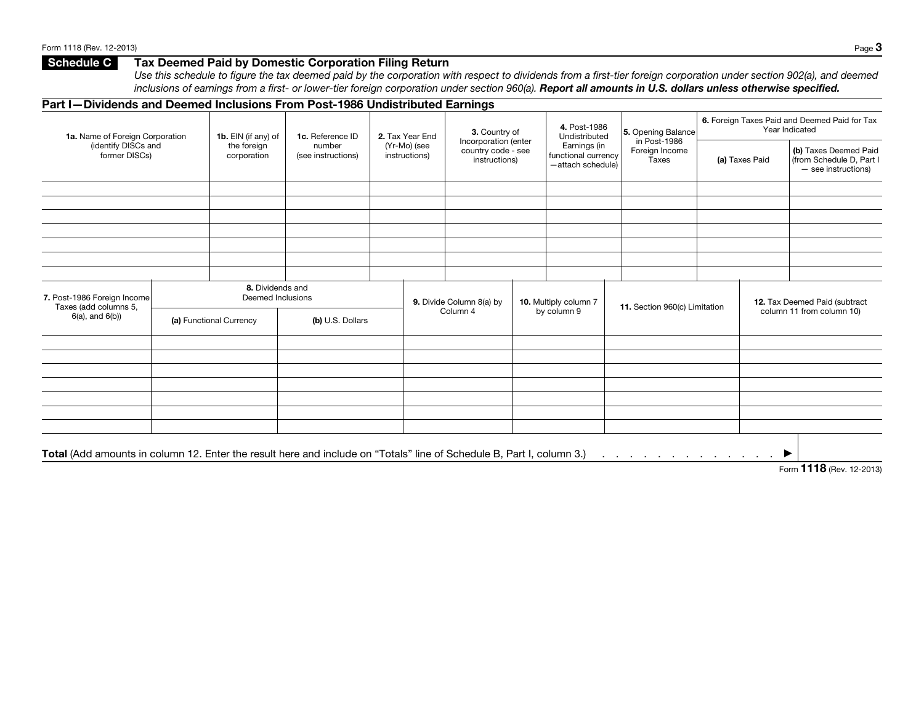## **Schedule C** Tax Deemed Paid by Domestic Corporation Filing Return

*Use this schedule to figure the tax deemed paid by the corporation with respect to dividends from a first-tier foreign corporation under section 902(a), and deemed*  inclusions of earnings from a first- or lower-tier foreign corporation under section 960(a). **Report all amounts in U.S. dollars unless otherwise specified.** 

#### Part I—Dividends and Deemed Inclusions From Post-1986 Undistributed Earnings 1a. Name of Foreign Corporation (identify DISCs and former DISCs) 1b. EIN (if any) of the foreign corporation 1c. Reference ID number (see instructions) 2. Tax Year End (Yr-Mo) (see instructions) 3. Country of Incorporation (enter country code - see instructions) 4. Post-1986 Undistributed Earnings (in functional currency —attach schedule) 5. Opening Balance in Post-1986 Foreign Income Taxes 6. Foreign Taxes Paid and Deemed Paid for Tax Year Indicated (a) Taxes Paid (b) Taxes Deemed Paid (from Schedule D, Part I — see instructions) 7. Post-1986 Foreign Income Taxes (add columns 5, 6(a), and 6(b)) 8. Dividends and Deemed Inclusions (a) Functional Currency (b) U.S. Dollars 9. Divide Column 8(a) by Column 4 10. Multiply column 7 by column 9 11. Section 960(c) Limitation 12. Tax Deemed Paid (subtract column 11 from column 10) Total (Add amounts in column 12. Enter the result here and include on "Totals" line of Schedule B, Part I, column 3.) . . . . . . . . . . . . . ▶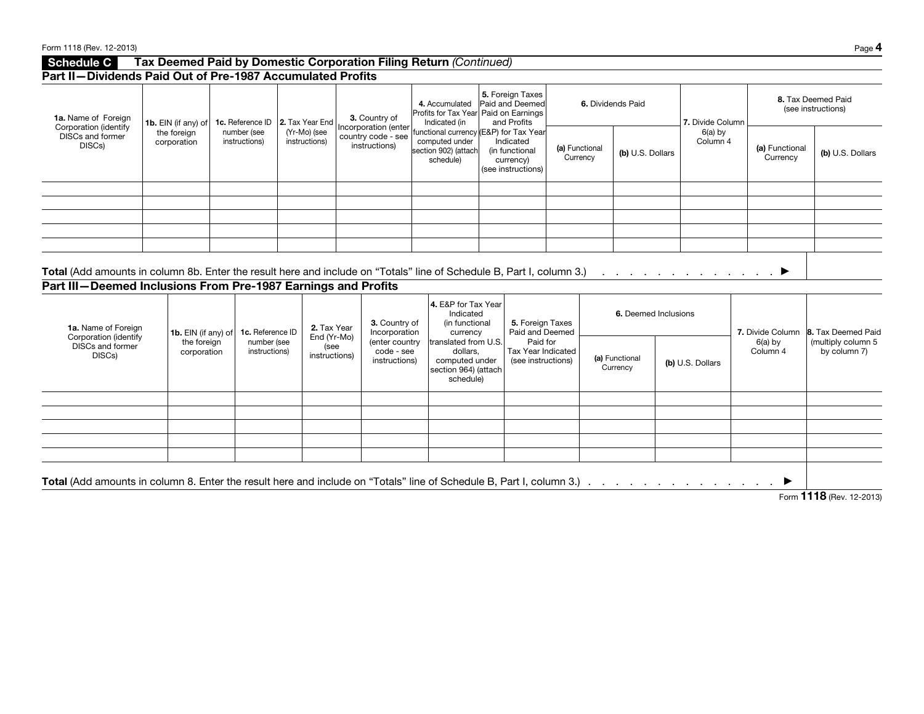| <b>Schedule C</b>                                                                                                                                                                      |                                                   |                            |                              |                                                  |                               |                                                     |                                       | Tax Deemed Paid by Domestic Corporation Filing Return (Continued) |                                                                                              |                                                                                                     |                                                                |                                                                         |                            |                            |                                                                    |  |                                           |                                                          |
|----------------------------------------------------------------------------------------------------------------------------------------------------------------------------------------|---------------------------------------------------|----------------------------|------------------------------|--------------------------------------------------|-------------------------------|-----------------------------------------------------|---------------------------------------|-------------------------------------------------------------------|----------------------------------------------------------------------------------------------|-----------------------------------------------------------------------------------------------------|----------------------------------------------------------------|-------------------------------------------------------------------------|----------------------------|----------------------------|--------------------------------------------------------------------|--|-------------------------------------------|----------------------------------------------------------|
| Part II-Dividends Paid Out of Pre-1987 Accumulated Profits                                                                                                                             |                                                   |                            |                              |                                                  |                               |                                                     |                                       |                                                                   |                                                                                              |                                                                                                     |                                                                |                                                                         |                            |                            |                                                                    |  |                                           |                                                          |
| 1a. Name of Foreign                                                                                                                                                                    |                                                   | <b>1b.</b> EIN (if any) of |                              | 1c. Reference ID   2. Tax Year End               |                               |                                                     | 3. Country of<br>Incorporation (enter |                                                                   |                                                                                              | 4. Accumulated<br>Profits for Tax Year Paid on Earnings<br>Indicated (in                            |                                                                | 5. Foreign Taxes<br>Paid and Deemed<br>and Profits                      |                            | 6. Dividends Paid          | 7. Divide Column                                                   |  |                                           | 8. Tax Deemed Paid<br>(see instructions)                 |
| Corporation (identify<br><b>DISCs and former</b><br>DISCs)                                                                                                                             |                                                   | the foreign<br>corporation | number (see<br>instructions) |                                                  | (Yr-Mo) (see<br>instructions) |                                                     | country code - see<br>instructions)   |                                                                   | unctional currency (E&P) for Tax Year<br>computed under<br>section 902) (attach<br>schedule) |                                                                                                     | Indicated<br>(in functional<br>currency)<br>(see instructions) |                                                                         | (a) Functional<br>Currency | (b) U.S. Dollars           | $6(a)$ by<br>Column 4                                              |  | (a) Functional<br>Currency                | (b) U.S. Dollars                                         |
|                                                                                                                                                                                        |                                                   |                            |                              |                                                  |                               |                                                     |                                       |                                                                   |                                                                                              |                                                                                                     |                                                                |                                                                         |                            |                            |                                                                    |  |                                           |                                                          |
| Total (Add amounts in column 8b. Enter the result here and include on "Totals" line of Schedule B, Part I, column 3.)<br>Part III-Deemed Inclusions From Pre-1987 Earnings and Profits |                                                   |                            |                              |                                                  |                               |                                                     |                                       |                                                                   |                                                                                              | 4. E&P for Tax Year<br>Indicated                                                                    |                                                                |                                                                         |                            | 6. Deemed Inclusions       | . The second contract is a set of the set of $\blacktriangleright$ |  |                                           |                                                          |
| 1a. Name of Foreign                                                                                                                                                                    |                                                   |                            |                              |                                                  |                               |                                                     |                                       | 3. Country of                                                     |                                                                                              | (in functional                                                                                      |                                                                | 5. Foreign Taxes                                                        |                            |                            |                                                                    |  |                                           |                                                          |
| Corporation (identify<br>DISCs and former<br>DISCs)                                                                                                                                    | 1b. EIN (if any) of<br>the foreign<br>corporation |                            |                              | 1c. Reference ID<br>number (see<br>instructions) |                               | 2. Tax Year<br>End (Yr-Mo)<br>(see<br>instructions) |                                       | Incorporation<br>(enter country<br>code - see<br>instructions)    |                                                                                              | currency<br>translated from U.S.<br>dollars,<br>computed under<br>section 964) (attach<br>schedule) |                                                                | Paid and Deemed<br>Paid for<br>Tax Year Indicated<br>(see instructions) |                            | (a) Functional<br>Currency | (b) U.S. Dollars                                                   |  | 7. Divide Column<br>$6(a)$ by<br>Column 4 | 8. Tax Deemed Paid<br>(multiply column 5<br>by column 7) |
|                                                                                                                                                                                        |                                                   |                            |                              |                                                  |                               |                                                     |                                       |                                                                   |                                                                                              |                                                                                                     |                                                                |                                                                         |                            |                            |                                                                    |  |                                           |                                                          |
|                                                                                                                                                                                        |                                                   |                            |                              |                                                  |                               |                                                     |                                       |                                                                   |                                                                                              |                                                                                                     |                                                                |                                                                         |                            |                            |                                                                    |  |                                           |                                                          |
|                                                                                                                                                                                        |                                                   |                            |                              |                                                  |                               |                                                     |                                       |                                                                   |                                                                                              |                                                                                                     |                                                                |                                                                         |                            |                            |                                                                    |  |                                           |                                                          |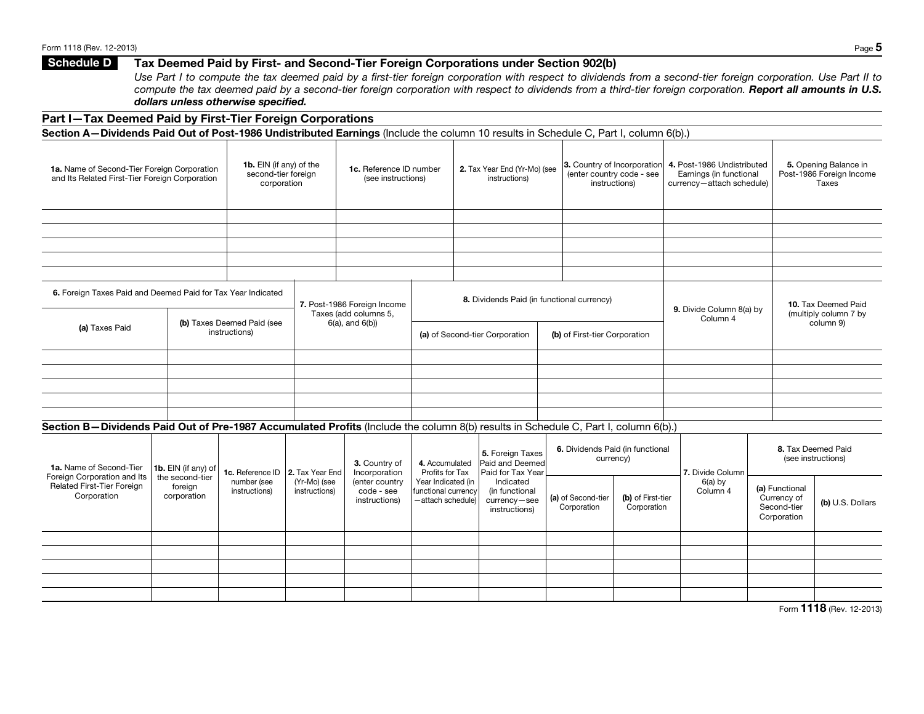# Schedule D Tax Deemed Paid by First- and Second-Tier Foreign Corporations under Section 902(b)

*Use Part I to compute the tax deemed paid by a first-tier foreign corporation with respect to dividends from a second-tier foreign corporation. Use Part II to*  compute the tax deemed paid by a second-tier foreign corporation with respect to dividends from a third-tier foreign corporation. Report all amounts in U.S. *dollars unless otherwise specified.*

### Part I—Tax Deemed Paid by First-Tier Foreign Corporations

Section A-Dividends Paid Out of Post-1986 Undistributed Earnings (Include the column 10 results in Schedule C, Part I, column 6(b).)

| 1a. Name of Second-Tier Foreign Corporation<br>and Its Related First-Tier Foreign Corporation                                      |                                           | 1b. EIN (if any) of the<br>second-tier foreign<br>corporation |                               | 1c. Reference ID number<br>(see instructions)        |                                                                | 2. Tax Year End (Yr-Mo) (see<br>instructions)                |                                   | 3. Country of Incorporation<br>(enter country code - see<br>instructions) | 4. Post-1986 Undistributed<br>Earnings (in functional<br>currency-attach schedule) |                                                             |                                              | 5. Opening Balance in<br>Post-1986 Foreign Income<br><b>Taxes</b> |
|------------------------------------------------------------------------------------------------------------------------------------|-------------------------------------------|---------------------------------------------------------------|-------------------------------|------------------------------------------------------|----------------------------------------------------------------|--------------------------------------------------------------|-----------------------------------|---------------------------------------------------------------------------|------------------------------------------------------------------------------------|-------------------------------------------------------------|----------------------------------------------|-------------------------------------------------------------------|
|                                                                                                                                    |                                           |                                                               |                               |                                                      |                                                                |                                                              |                                   |                                                                           |                                                                                    |                                                             |                                              |                                                                   |
|                                                                                                                                    |                                           |                                                               |                               |                                                      |                                                                |                                                              |                                   |                                                                           |                                                                                    |                                                             |                                              |                                                                   |
|                                                                                                                                    |                                           |                                                               |                               |                                                      |                                                                |                                                              |                                   |                                                                           |                                                                                    |                                                             |                                              |                                                                   |
|                                                                                                                                    |                                           |                                                               |                               |                                                      |                                                                |                                                              |                                   |                                                                           |                                                                                    |                                                             |                                              |                                                                   |
| 6. Foreign Taxes Paid and Deemed Paid for Tax Year Indicated<br>(b) Taxes Deemed Paid (see<br>(a) Taxes Paid<br>instructions)      |                                           |                                                               |                               | 7. Post-1986 Foreign Income<br>Taxes (add columns 5, |                                                                | 8. Dividends Paid (in functional currency)                   |                                   |                                                                           | 9. Divide Column 8(a) by                                                           |                                                             | 10. Tax Deemed Paid<br>(multiply column 7 by |                                                                   |
|                                                                                                                                    |                                           |                                                               |                               | $6(a)$ , and $6(b)$                                  |                                                                | (a) of Second-tier Corporation                               | (b) of First-tier Corporation     |                                                                           | Column 4                                                                           |                                                             |                                              | column 9)                                                         |
|                                                                                                                                    |                                           |                                                               |                               |                                                      |                                                                |                                                              |                                   |                                                                           |                                                                                    |                                                             |                                              |                                                                   |
|                                                                                                                                    |                                           |                                                               |                               |                                                      |                                                                |                                                              |                                   |                                                                           |                                                                                    |                                                             |                                              |                                                                   |
|                                                                                                                                    |                                           |                                                               |                               |                                                      |                                                                |                                                              |                                   |                                                                           |                                                                                    |                                                             |                                              |                                                                   |
|                                                                                                                                    |                                           |                                                               |                               |                                                      |                                                                |                                                              |                                   |                                                                           |                                                                                    |                                                             |                                              |                                                                   |
| Section B-Dividends Paid Out of Pre-1987 Accumulated Profits (Include the column 8(b) results in Schedule C, Part I, column 6(b).) |                                           |                                                               |                               |                                                      |                                                                |                                                              |                                   |                                                                           |                                                                                    |                                                             |                                              |                                                                   |
| 1a. Name of Second-Tier                                                                                                            | 1b. EIN (if any) of                       | 1c. Reference ID   2. Tax Year End                            |                               | 3. Country of<br>Incorporation                       | 4. Accumulated<br>Profits for Tax                              | 5. Foreign Taxes<br>Paid and Deemed<br>Paid for Tax Year     |                                   | 6. Dividends Paid (in functional<br>currency)                             | 7. Divide Column                                                                   |                                                             | 8. Tax Deemed Paid<br>(see instructions)     |                                                                   |
| Foreign Corporation and Its<br>Related First-Tier Foreign<br>Corporation                                                           | the second-tier<br>foreign<br>corporation | number (see<br>instructions)                                  | (Yr-Mo) (see<br>instructions) | (enter country<br>code - see<br>instructions)        | Year Indicated (in<br>functional currency<br>-attach schedule) | Indicated<br>(in functional<br>currency-see<br>instructions) | (a) of Second-tier<br>Corporation | (b) of First-tier<br>Corporation                                          | $6(a)$ by<br>Column 4                                                              | (a) Functional<br>Currency of<br>Second-tier<br>Corporation |                                              | (b) U.S. Dollars                                                  |
|                                                                                                                                    |                                           |                                                               |                               |                                                      |                                                                |                                                              |                                   |                                                                           |                                                                                    |                                                             |                                              |                                                                   |
|                                                                                                                                    |                                           |                                                               |                               |                                                      |                                                                |                                                              |                                   |                                                                           |                                                                                    |                                                             |                                              |                                                                   |
|                                                                                                                                    |                                           |                                                               |                               |                                                      |                                                                |                                                              |                                   |                                                                           |                                                                                    |                                                             |                                              |                                                                   |
|                                                                                                                                    |                                           |                                                               |                               |                                                      |                                                                |                                                              |                                   |                                                                           |                                                                                    |                                                             |                                              |                                                                   |
|                                                                                                                                    |                                           |                                                               |                               |                                                      |                                                                |                                                              |                                   |                                                                           |                                                                                    |                                                             |                                              |                                                                   |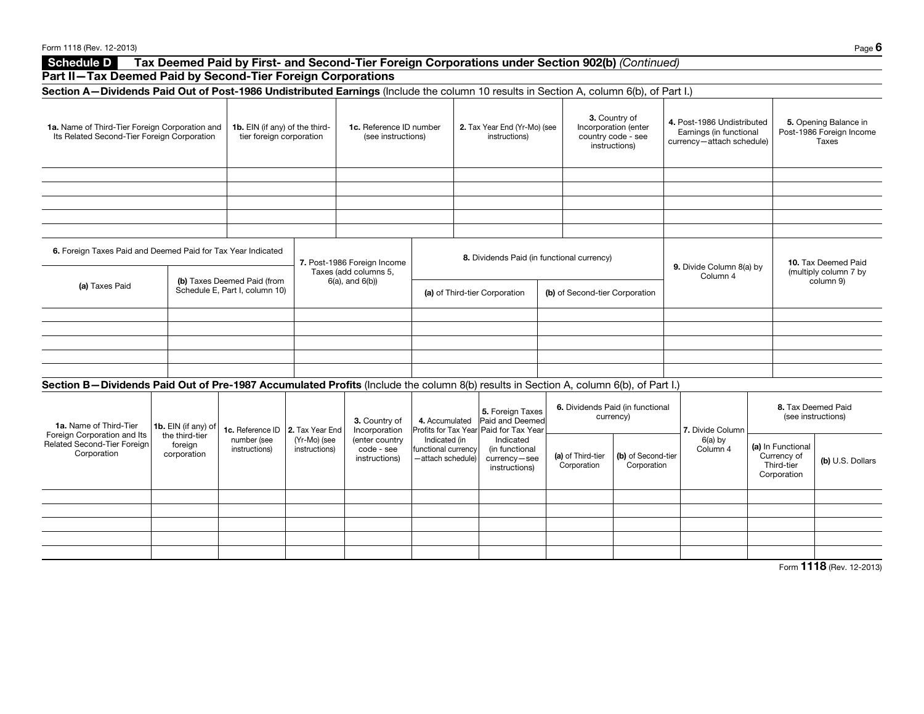| Form 1118 (Rev. 12-2013)                                                                                                                                                                              |                                                                                                               |                                                            |                               |                                                                                                 |                                                           |                                                                               |                                            |                                                                              |                                                                                    |                                                               | Page 6                                                     |  |
|-------------------------------------------------------------------------------------------------------------------------------------------------------------------------------------------------------|---------------------------------------------------------------------------------------------------------------|------------------------------------------------------------|-------------------------------|-------------------------------------------------------------------------------------------------|-----------------------------------------------------------|-------------------------------------------------------------------------------|--------------------------------------------|------------------------------------------------------------------------------|------------------------------------------------------------------------------------|---------------------------------------------------------------|------------------------------------------------------------|--|
| Schedule D                                                                                                                                                                                            |                                                                                                               |                                                            |                               | Tax Deemed Paid by First- and Second-Tier Foreign Corporations under Section 902(b) (Continued) |                                                           |                                                                               |                                            |                                                                              |                                                                                    |                                                               |                                                            |  |
| Part II-Tax Deemed Paid by Second-Tier Foreign Corporations<br>Section A-Dividends Paid Out of Post-1986 Undistributed Earnings (Include the column 10 results in Section A, column 6(b), of Part I.) |                                                                                                               |                                                            |                               |                                                                                                 |                                                           |                                                                               |                                            |                                                                              |                                                                                    |                                                               |                                                            |  |
|                                                                                                                                                                                                       |                                                                                                               |                                                            |                               |                                                                                                 |                                                           |                                                                               |                                            |                                                                              |                                                                                    |                                                               |                                                            |  |
| 1a. Name of Third-Tier Foreign Corporation and<br>Its Related Second-Tier Foreign Corporation                                                                                                         |                                                                                                               | 1b. EIN (if any) of the third-<br>tier foreign corporation |                               | 1c. Reference ID number<br>(see instructions)                                                   |                                                           | 2. Tax Year End (Yr-Mo) (see<br>instructions)                                 |                                            | 3. Country of<br>Incorporation (enter<br>country code - see<br>instructions) | 4. Post-1986 Undistributed<br>Earnings (in functional<br>currency-attach schedule) |                                                               | 5. Opening Balance in<br>Post-1986 Foreign Income<br>Taxes |  |
|                                                                                                                                                                                                       |                                                                                                               |                                                            |                               |                                                                                                 |                                                           |                                                                               |                                            |                                                                              |                                                                                    |                                                               |                                                            |  |
|                                                                                                                                                                                                       |                                                                                                               |                                                            |                               |                                                                                                 |                                                           |                                                                               |                                            |                                                                              |                                                                                    |                                                               |                                                            |  |
|                                                                                                                                                                                                       |                                                                                                               |                                                            |                               |                                                                                                 |                                                           |                                                                               |                                            |                                                                              |                                                                                    |                                                               |                                                            |  |
|                                                                                                                                                                                                       | 6. Foreign Taxes Paid and Deemed Paid for Tax Year Indicated<br>(b) Taxes Deemed Paid (from<br>(a) Taxes Paid |                                                            |                               | 7. Post-1986 Foreign Income<br>Taxes (add columns 5,                                            |                                                           |                                                                               | 8. Dividends Paid (in functional currency) |                                                                              | 9. Divide Column 8(a) by<br>Column 4                                               |                                                               | 10. Tax Deemed Paid<br>(multiply column 7 by<br>column 9)  |  |
|                                                                                                                                                                                                       |                                                                                                               | Schedule E, Part I, column 10)                             |                               | $6(a)$ , and $6(b)$                                                                             | (a) of Third-tier Corporation                             |                                                                               | (b) of Second-tier Corporation             |                                                                              |                                                                                    |                                                               |                                                            |  |
|                                                                                                                                                                                                       |                                                                                                               |                                                            |                               |                                                                                                 |                                                           |                                                                               |                                            |                                                                              |                                                                                    |                                                               |                                                            |  |
|                                                                                                                                                                                                       |                                                                                                               |                                                            |                               |                                                                                                 |                                                           |                                                                               |                                            |                                                                              |                                                                                    |                                                               |                                                            |  |
|                                                                                                                                                                                                       |                                                                                                               |                                                            |                               |                                                                                                 |                                                           |                                                                               |                                            |                                                                              |                                                                                    |                                                               |                                                            |  |
| Section B-Dividends Paid Out of Pre-1987 Accumulated Profits (Include the column 8(b) results in Section A, column 6(b), of Part I.)                                                                  |                                                                                                               |                                                            |                               |                                                                                                 |                                                           |                                                                               |                                            |                                                                              |                                                                                    |                                                               |                                                            |  |
| 1a. Name of Third-Tier                                                                                                                                                                                | 1b. EIN (if any) of                                                                                           | 1c. Reference ID   2. Tax Year End                         |                               | 3. Country of<br>Incorporation                                                                  | 4. Accumulated                                            | 5. Foreign Taxes<br>Paid and Deemed<br>Profits for Tax Year Paid for Tax Year |                                            | 6. Dividends Paid (in functional<br>currency)                                | 7. Divide Column                                                                   |                                                               | 8. Tax Deemed Paid<br>(see instructions)                   |  |
| Foreign Corporation and Its<br>Related Second-Tier Foreign<br>Corporation                                                                                                                             | the third-tier<br>foreign<br>corporation                                                                      | number (see<br>instructions)                               | (Yr-Mo) (see<br>instructions) | (enter country<br>code - see<br>instructions)                                                   | Indicated (in<br>functional currency<br>-attach schedule) | Indicated<br>(in functional<br>currency-see<br>instructions)                  | (a) of Third-tier<br>Corporation           | (b) of Second-tier<br>Corporation                                            | $6(a)$ by<br>Column 4                                                              | (a) In Functional<br>Currency of<br>Third-tier<br>Corporation | (b) U.S. Dollars                                           |  |
|                                                                                                                                                                                                       |                                                                                                               |                                                            |                               |                                                                                                 |                                                           |                                                                               |                                            |                                                                              |                                                                                    |                                                               |                                                            |  |
|                                                                                                                                                                                                       |                                                                                                               |                                                            |                               |                                                                                                 |                                                           |                                                                               |                                            |                                                                              |                                                                                    |                                                               |                                                            |  |
|                                                                                                                                                                                                       |                                                                                                               |                                                            |                               |                                                                                                 |                                                           |                                                                               |                                            |                                                                              |                                                                                    |                                                               |                                                            |  |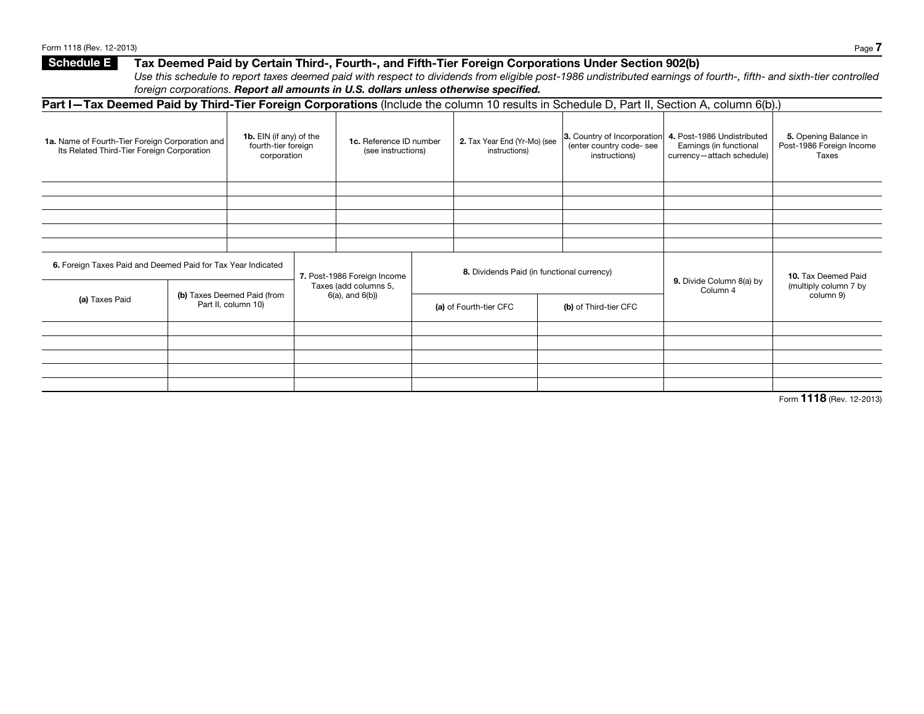## Form 1118 (Rev. 12-2013) Page 7 Schedule E Tax Deemed Paid by Certain Third-, Fourth-, and Fifth-Tier Foreign Corporations Under Section 902(b) *Use this schedule to report taxes deemed paid with respect to dividends from eligible post-1986 undistributed earnings of fourth-, fifth- and sixth-tier controlled*

|  | foreign corporations. Report all amounts in U.S. dollars unless otherwise specified. |
|--|--------------------------------------------------------------------------------------|
|  |                                                                                      |

| <b>Part I-Tax Deemed Paid by Third-Tier Foreign Corporations</b> (Include the column 10 results in Schedule D, Part II, Section A, column 6(b).) |  |                                                               |                                                |                                               |                        |                                               |                                                                          |                                                                                    |                                                            |
|--------------------------------------------------------------------------------------------------------------------------------------------------|--|---------------------------------------------------------------|------------------------------------------------|-----------------------------------------------|------------------------|-----------------------------------------------|--------------------------------------------------------------------------|------------------------------------------------------------------------------------|------------------------------------------------------------|
| 1a. Name of Fourth-Tier Foreign Corporation and<br>Its Related Third-Tier Foreign Corporation                                                    |  | 1b. EIN (if any) of the<br>fourth-tier foreign<br>corporation |                                                | 1c. Reference ID number<br>(see instructions) |                        | 2. Tax Year End (Yr-Mo) (see<br>instructions) | 3. Country of Incorporation<br>(enter country code- see<br>instructions) | 4. Post-1986 Undistributed<br>Earnings (in functional<br>currency-attach schedule) | 5. Opening Balance in<br>Post-1986 Foreign Income<br>Taxes |
|                                                                                                                                                  |  |                                                               |                                                |                                               |                        |                                               |                                                                          |                                                                                    |                                                            |
|                                                                                                                                                  |  |                                                               |                                                |                                               |                        |                                               |                                                                          |                                                                                    |                                                            |
|                                                                                                                                                  |  |                                                               |                                                |                                               |                        |                                               |                                                                          |                                                                                    |                                                            |
|                                                                                                                                                  |  |                                                               |                                                |                                               |                        |                                               |                                                                          |                                                                                    |                                                            |
| 6. Foreign Taxes Paid and Deemed Paid for Tax Year Indicated                                                                                     |  |                                                               |                                                | 7. Post-1986 Foreign Income                   |                        | 8. Dividends Paid (in functional currency)    |                                                                          | 9. Divide Column 8(a) by                                                           | 10. Tax Deemed Paid<br>(multiply column 7 by               |
| (a) Taxes Paid                                                                                                                                   |  | (b) Taxes Deemed Paid (from<br>Part II, column 10)            | Taxes (add columns 5,<br>$6(a)$ , and $6(b)$ ) |                                               | (a) of Fourth-tier CFC |                                               | (b) of Third-tier CFC                                                    | Column 4                                                                           | column 9)                                                  |
|                                                                                                                                                  |  |                                                               |                                                |                                               |                        |                                               |                                                                          |                                                                                    |                                                            |
|                                                                                                                                                  |  |                                                               |                                                |                                               |                        |                                               |                                                                          |                                                                                    |                                                            |
|                                                                                                                                                  |  |                                                               |                                                |                                               |                        |                                               |                                                                          |                                                                                    |                                                            |
|                                                                                                                                                  |  |                                                               |                                                |                                               |                        |                                               |                                                                          |                                                                                    |                                                            |
|                                                                                                                                                  |  |                                                               |                                                |                                               |                        |                                               |                                                                          |                                                                                    |                                                            |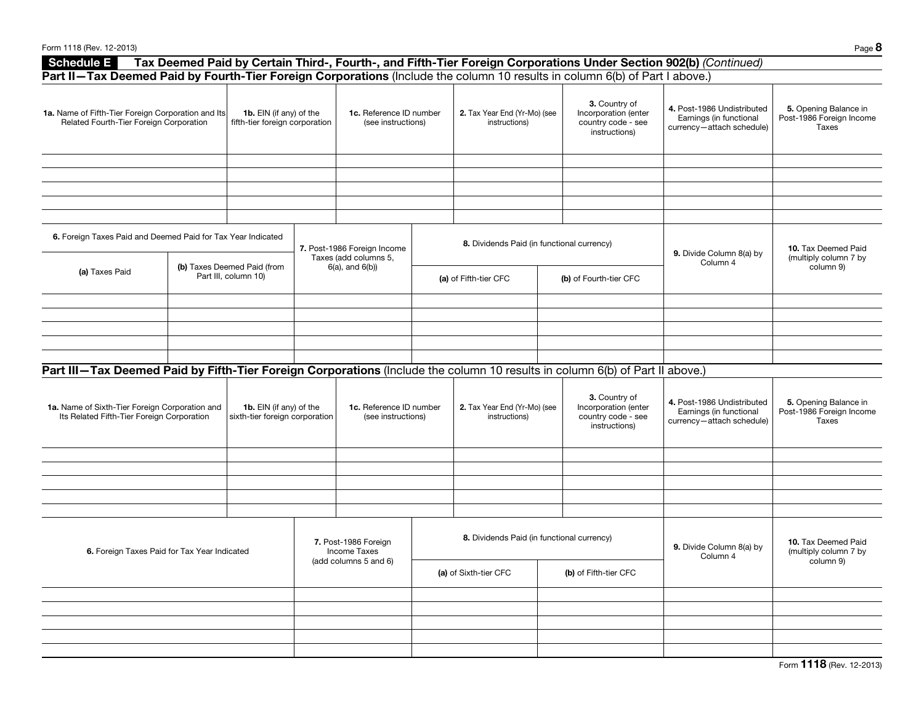| Form 1118 (Rev. 12-2013)                                                                                                     |  |                                                           |  |                                                                      |                                               |                                                                                                                  |                                                                                    | Page 8                                                     |
|------------------------------------------------------------------------------------------------------------------------------|--|-----------------------------------------------------------|--|----------------------------------------------------------------------|-----------------------------------------------|------------------------------------------------------------------------------------------------------------------|------------------------------------------------------------------------------------|------------------------------------------------------------|
| <b>Schedule E</b>                                                                                                            |  |                                                           |  |                                                                      |                                               | Tax Deemed Paid by Certain Third-, Fourth-, and Fifth-Tier Foreign Corporations Under Section 902(b) (Continued) |                                                                                    |                                                            |
| Part II-Tax Deemed Paid by Fourth-Tier Foreign Corporations (Include the column 10 results in column 6(b) of Part I above.)  |  |                                                           |  |                                                                      |                                               |                                                                                                                  |                                                                                    |                                                            |
| 1a. Name of Fifth-Tier Foreign Corporation and Its<br>Related Fourth-Tier Foreign Corporation                                |  | 1b. EIN (if any) of the<br>fifth-tier foreign corporation |  | 1c. Reference ID number<br>(see instructions)                        | 2. Tax Year End (Yr-Mo) (see<br>instructions) | 3. Country of<br>Incorporation (enter<br>country code - see<br>instructions)                                     | 4. Post-1986 Undistributed<br>Earnings (in functional<br>currency-attach schedule) | 5. Opening Balance in<br>Post-1986 Foreign Income<br>Taxes |
|                                                                                                                              |  |                                                           |  |                                                                      |                                               |                                                                                                                  |                                                                                    |                                                            |
|                                                                                                                              |  |                                                           |  |                                                                      |                                               |                                                                                                                  |                                                                                    |                                                            |
| 6. Foreign Taxes Paid and Deemed Paid for Tax Year Indicated                                                                 |  |                                                           |  | 7. Post-1986 Foreign Income<br>Taxes (add columns 5,                 | 8. Dividends Paid (in functional currency)    |                                                                                                                  | 9. Divide Column 8(a) by                                                           | 10. Tax Deemed Paid<br>(multiply column 7 by               |
| (a) Taxes Paid                                                                                                               |  | (b) Taxes Deemed Paid (from<br>Part III, column 10)       |  | $6(a)$ , and $6(b)$                                                  | (a) of Fifth-tier CFC                         | (b) of Fourth-tier CFC                                                                                           | Column 4                                                                           | column 9)                                                  |
|                                                                                                                              |  |                                                           |  |                                                                      |                                               |                                                                                                                  |                                                                                    |                                                            |
|                                                                                                                              |  |                                                           |  |                                                                      |                                               |                                                                                                                  |                                                                                    |                                                            |
|                                                                                                                              |  |                                                           |  |                                                                      |                                               |                                                                                                                  |                                                                                    |                                                            |
|                                                                                                                              |  |                                                           |  |                                                                      |                                               |                                                                                                                  |                                                                                    |                                                            |
| Part III-Tax Deemed Paid by Fifth-Tier Foreign Corporations (Include the column 10 results in column 6(b) of Part II above.) |  |                                                           |  |                                                                      |                                               |                                                                                                                  |                                                                                    |                                                            |
| 1a. Name of Sixth-Tier Foreign Corporation and<br>Its Related Fifth-Tier Foreign Corporation                                 |  | 1b. EIN (if any) of the<br>sixth-tier foreign corporation |  | 1c. Reference ID number<br>(see instructions)                        | 2. Tax Year End (Yr-Mo) (see<br>instructions) | 3. Country of<br>Incorporation (enter<br>country code - see<br>instructions)                                     | 4. Post-1986 Undistributed<br>Earnings (in functional<br>currency-attach schedule) | 5. Opening Balance in<br>Post-1986 Foreign Income<br>Taxes |
|                                                                                                                              |  |                                                           |  |                                                                      |                                               |                                                                                                                  |                                                                                    |                                                            |
|                                                                                                                              |  |                                                           |  |                                                                      |                                               |                                                                                                                  |                                                                                    |                                                            |
|                                                                                                                              |  |                                                           |  |                                                                      |                                               |                                                                                                                  |                                                                                    |                                                            |
|                                                                                                                              |  |                                                           |  |                                                                      |                                               |                                                                                                                  |                                                                                    |                                                            |
| 6. Foreign Taxes Paid for Tax Year Indicated                                                                                 |  |                                                           |  | 7. Post-1986 Foreign<br><b>Income Taxes</b><br>(add columns 5 and 6) | 8. Dividends Paid (in functional currency)    |                                                                                                                  | 9. Divide Column 8(a) by<br>Column 4                                               | 10. Tax Deemed Paid<br>(multiply column 7 by<br>column 9)  |
|                                                                                                                              |  |                                                           |  |                                                                      | (a) of Sixth-tier CFC                         | (b) of Fifth-tier CFC                                                                                            |                                                                                    |                                                            |
|                                                                                                                              |  |                                                           |  |                                                                      |                                               |                                                                                                                  |                                                                                    |                                                            |
|                                                                                                                              |  |                                                           |  |                                                                      |                                               |                                                                                                                  |                                                                                    |                                                            |
|                                                                                                                              |  |                                                           |  |                                                                      |                                               |                                                                                                                  |                                                                                    |                                                            |
|                                                                                                                              |  |                                                           |  |                                                                      |                                               |                                                                                                                  |                                                                                    |                                                            |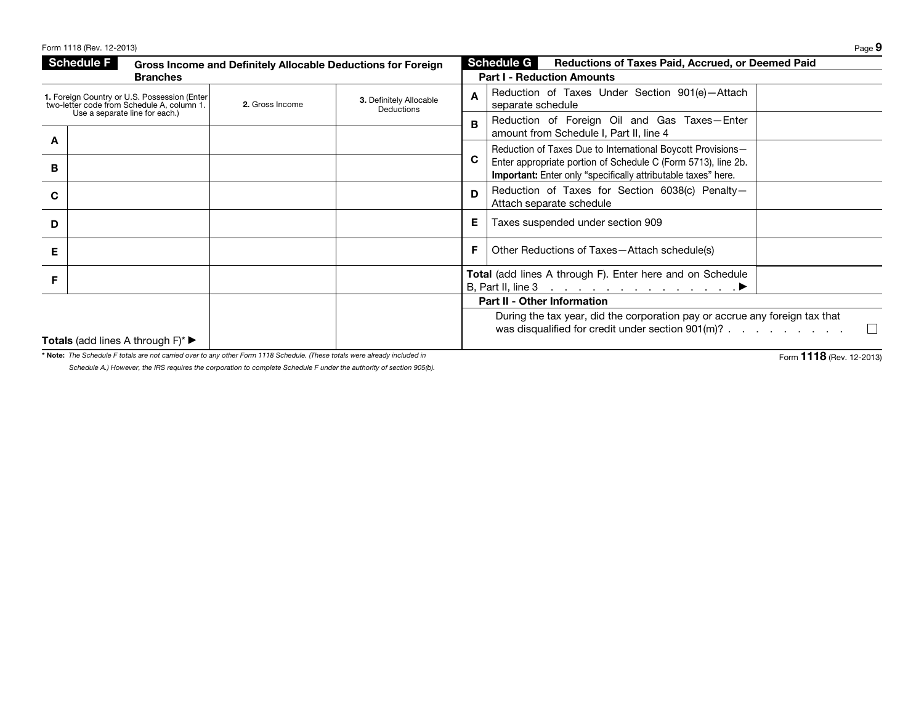|   | Form 1118 (Rev. 12-2013)                                                                   |                 |                                                              |    | Page 9                                                                                                                                |
|---|--------------------------------------------------------------------------------------------|-----------------|--------------------------------------------------------------|----|---------------------------------------------------------------------------------------------------------------------------------------|
|   | <b>Schedule F</b><br><b>Branches</b>                                                       |                 | Gross Income and Definitely Allocable Deductions for Foreign |    | Schedule G<br><b>Reductions of Taxes Paid, Accrued, or Deemed Paid</b><br><b>Part I - Reduction Amounts</b>                           |
|   | 1. Foreign Country or U.S. Possession (Enter<br>two-letter code from Schedule A, column 1. | 2. Gross Income | 3. Definitely Allocable<br><b>Deductions</b>                 | A  | Reduction of Taxes Under Section 901(e)-Attach<br>separate schedule                                                                   |
|   | Use a separate line for each.)                                                             |                 |                                                              | B. | Reduction of Foreign Oil and Gas Taxes-Enter<br>amount from Schedule I, Part II, line 4                                               |
| A |                                                                                            |                 |                                                              |    | Reduction of Taxes Due to International Boycott Provisions-                                                                           |
| в |                                                                                            |                 |                                                              | C  | Enter appropriate portion of Schedule C (Form 5713), line 2b.<br><b>Important:</b> Enter only "specifically attributable taxes" here. |
| C |                                                                                            |                 |                                                              | D  | Reduction of Taxes for Section 6038(c) Penalty-<br>Attach separate schedule                                                           |
| D |                                                                                            |                 |                                                              | Е  | Taxes suspended under section 909                                                                                                     |
| Е |                                                                                            |                 |                                                              | F  | Other Reductions of Taxes-Attach schedule(s)                                                                                          |
| F |                                                                                            |                 |                                                              |    | <b>Total</b> (add lines A through F). Enter here and on Schedule                                                                      |
|   |                                                                                            |                 |                                                              |    | <b>Part II - Other Information</b>                                                                                                    |
|   |                                                                                            |                 |                                                              |    | During the tax year, did the corporation pay or accrue any foreign tax that<br>was disqualified for credit under section 901(m)?      |
|   | <b>Totals</b> (add lines A through $F$ )*                                                  |                 |                                                              |    |                                                                                                                                       |

\* Note: *The Schedule F totals are not carried over to any other Form 1118 Schedule. (These totals were already included in Schedule A.) However, the IRS requires the corporation to complete Schedule F under the authority of section 905(b).*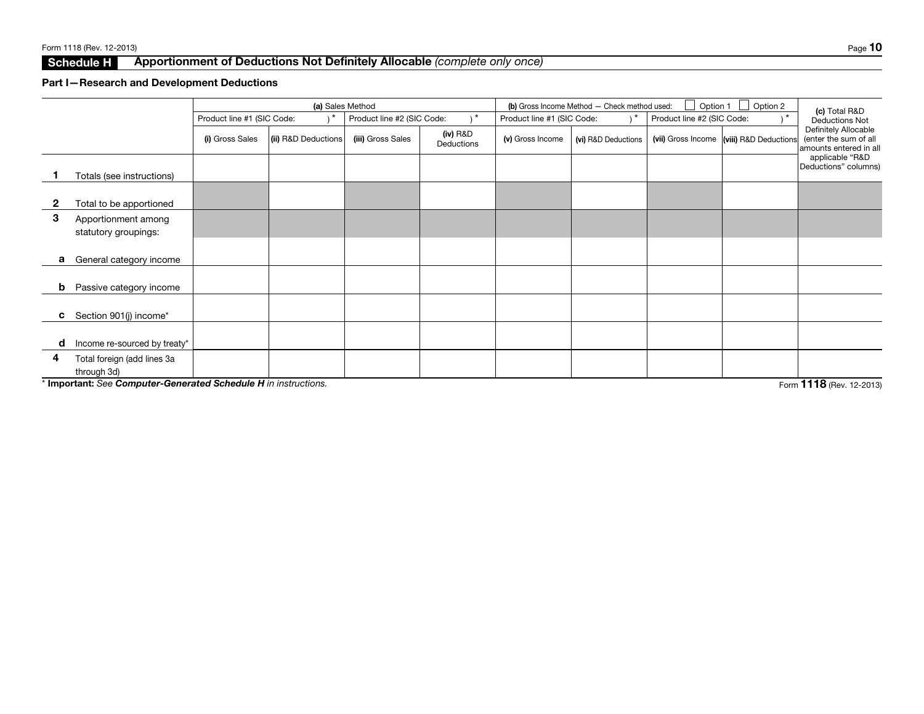# Schedule H Apportionment of Deductions Not Definitely Allocable *(complete only once)*

## Part I—Research and Development Deductions

|              |                                                                 |                            |                     | (a) Sales Method           |                          | (b) Gross Income Method - Check method used: | Option 1<br>Option 2 | (c) Total R&D              |                       |                                                                         |
|--------------|-----------------------------------------------------------------|----------------------------|---------------------|----------------------------|--------------------------|----------------------------------------------|----------------------|----------------------------|-----------------------|-------------------------------------------------------------------------|
|              |                                                                 | Product line #1 (SIC Code: |                     | Product line #2 (SIC Code: | , *                      | Product line #1 (SIC Code:                   | 1 *                  | Product line #2 (SIC Code: |                       | <b>Deductions Not</b>                                                   |
|              |                                                                 | (i) Gross Sales            | (ii) R&D Deductions | (iii) Gross Sales          | $(iv)$ R&D<br>Deductions | (v) Gross Income                             | (vi) R&D Deductions  | (vii) Gross Income         | (viii) R&D Deductions | Definitely Allocable<br>(enter the sum of all<br>amounts entered in all |
|              | Totals (see instructions)                                       |                            |                     |                            |                          |                                              |                      |                            |                       | applicable "R&D<br>Deductions" columns)                                 |
| $\mathbf{2}$ | Total to be apportioned                                         |                            |                     |                            |                          |                                              |                      |                            |                       |                                                                         |
| 3            | Apportionment among<br>statutory groupings:                     |                            |                     |                            |                          |                                              |                      |                            |                       |                                                                         |
| а            | General category income                                         |                            |                     |                            |                          |                                              |                      |                            |                       |                                                                         |
| b            | Passive category income                                         |                            |                     |                            |                          |                                              |                      |                            |                       |                                                                         |
| c            | Section 901(j) income*                                          |                            |                     |                            |                          |                                              |                      |                            |                       |                                                                         |
| d            | Income re-sourced by treaty*                                    |                            |                     |                            |                          |                                              |                      |                            |                       |                                                                         |
| 4            | Total foreign (add lines 3a<br>through 3d)                      |                            |                     |                            |                          |                                              |                      |                            |                       |                                                                         |
|              | * Important: See Computer-Generated Schedule H in instructions. |                            |                     |                            |                          |                                              |                      |                            |                       | Form 1118 (Rev. 12-2013)                                                |